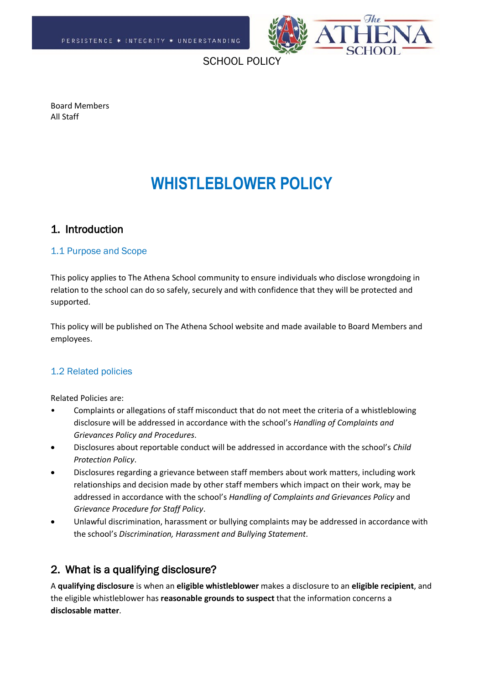

SCHOOL POLIC

Board Members All Staff

# **WHISTLEBLOWER POLICY**

# 1. Introduction

## 1.1 Purpose and Scope

This policy applies to The Athena School community to ensure individuals who disclose wrongdoing in relation to the school can do so safely, securely and with confidence that they will be protected and supported.

This policy will be published on The Athena School website and made available to Board Members and employees.

# 1.2 Related policies

Related Policies are:

- Complaints or allegations of staff misconduct that do not meet the criteria of a whistleblowing disclosure will be addressed in accordance with the school's *Handling of Complaints and Grievances Policy and Procedures*.
- Disclosures about reportable conduct will be addressed in accordance with the school's *Child Protection Policy*.
- Disclosures regarding a grievance between staff members about work matters, including work relationships and decision made by other staff members which impact on their work, may be addressed in accordance with the school's *Handling of Complaints and Grievances Policy* and *Grievance Procedure for Staff Policy*.
- Unlawful discrimination, harassment or bullying complaints may be addressed in accordance with the school's *Discrimination, Harassment and Bullying Statement*.

# 2. What is a qualifying disclosure?

A **qualifying disclosure** is when an **eligible whistleblower** makes a disclosure to an **eligible recipient**, and the eligible whistleblower has **reasonable grounds to suspect** that the information concerns a **disclosable matter**.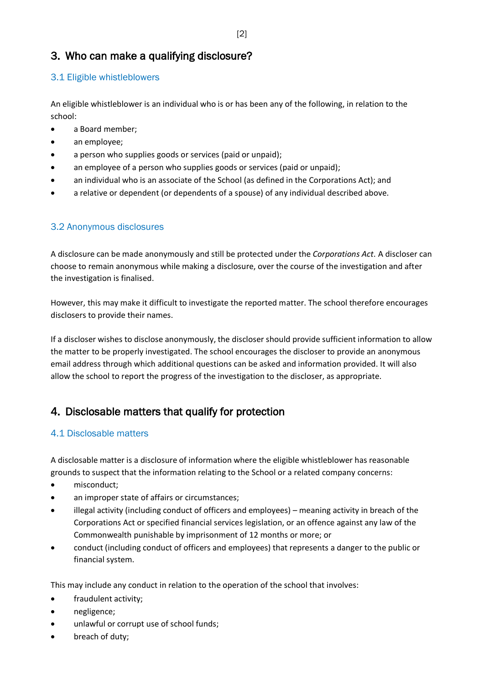# 3. Who can make a qualifying disclosure?

# 3.1 Eligible whistleblowers

An eligible whistleblower is an individual who is or has been any of the following, in relation to the school:

- a Board member;
- an employee;
- a person who supplies goods or services (paid or unpaid);
- an employee of a person who supplies goods or services (paid or unpaid);
- an individual who is an associate of the School (as defined in the Corporations Act); and
- a relative or dependent (or dependents of a spouse) of any individual described above.

# 3.2 Anonymous disclosures

A disclosure can be made anonymously and still be protected under the *Corporations Act*. A discloser can choose to remain anonymous while making a disclosure, over the course of the investigation and after the investigation is finalised.

However, this may make it difficult to investigate the reported matter. The school therefore encourages disclosers to provide their names.

If a discloser wishes to disclose anonymously, the discloser should provide sufficient information to allow the matter to be properly investigated. The school encourages the discloser to provide an anonymous email address through which additional questions can be asked and information provided. It will also allow the school to report the progress of the investigation to the discloser, as appropriate.

# 4. Disclosable matters that qualify for protection

# 4.1 Disclosable matters

A disclosable matter is a disclosure of information where the eligible whistleblower has reasonable grounds to suspect that the information relating to the School or a related company concerns:

- misconduct;
- an improper state of affairs or circumstances;
- illegal activity (including conduct of officers and employees) meaning activity in breach of the Corporations Act or specified financial services legislation, or an offence against any law of the Commonwealth punishable by imprisonment of 12 months or more; or
- conduct (including conduct of officers and employees) that represents a danger to the public or financial system.

This may include any conduct in relation to the operation of the school that involves:

- fraudulent activity;
- negligence;
- unlawful or corrupt use of school funds;
- breach of duty;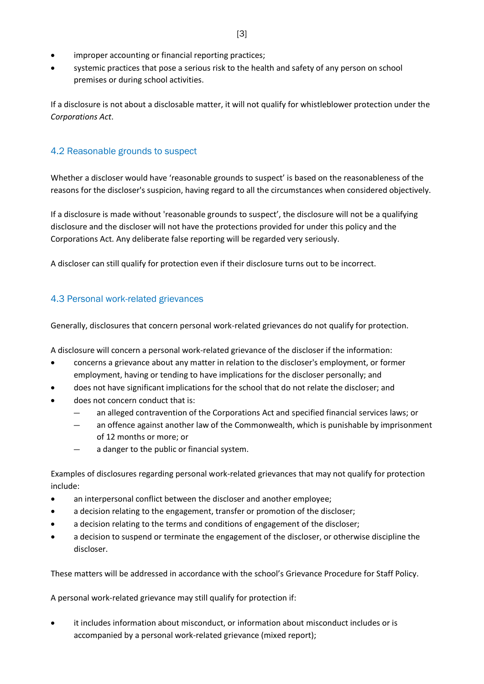- improper accounting or financial reporting practices;
- systemic practices that pose a serious risk to the health and safety of any person on school premises or during school activities.

If a disclosure is not about a disclosable matter, it will not qualify for whistleblower protection under the *Corporations Act*.

## 4.2 Reasonable grounds to suspect

Whether a discloser would have 'reasonable grounds to suspect' is based on the reasonableness of the reasons for the discloser's suspicion, having regard to all the circumstances when considered objectively.

If a disclosure is made without 'reasonable grounds to suspect', the disclosure will not be a qualifying disclosure and the discloser will not have the protections provided for under this policy and the Corporations Act. Any deliberate false reporting will be regarded very seriously.

A discloser can still qualify for protection even if their disclosure turns out to be incorrect.

## 4.3 Personal work-related grievances

Generally, disclosures that concern personal work-related grievances do not qualify for protection.

A disclosure will concern a personal work-related grievance of the discloser if the information:

- concerns a grievance about any matter in relation to the discloser's employment, or former employment, having or tending to have implications for the discloser personally; and
- does not have significant implications for the school that do not relate the discloser; and
- does not concern conduct that is:
	- ― an alleged contravention of the Corporations Act and specified financial services laws; or
	- an offence against another law of the Commonwealth, which is punishable by imprisonment of 12 months or more; or
	- a danger to the public or financial system.

Examples of disclosures regarding personal work-related grievances that may not qualify for protection include:

- an interpersonal conflict between the discloser and another employee;
- a decision relating to the engagement, transfer or promotion of the discloser;
- a decision relating to the terms and conditions of engagement of the discloser;
- a decision to suspend or terminate the engagement of the discloser, or otherwise discipline the discloser.

These matters will be addressed in accordance with the school's Grievance Procedure for Staff Policy.

A personal work-related grievance may still qualify for protection if:

• it includes information about misconduct, or information about misconduct includes or is accompanied by a personal work-related grievance (mixed report);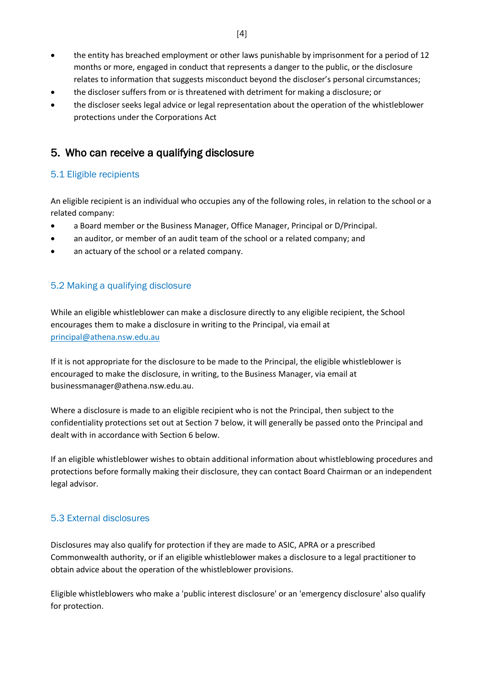- the entity has breached employment or other laws punishable by imprisonment for a period of 12 months or more, engaged in conduct that represents a danger to the public, or the disclosure relates to information that suggests misconduct beyond the discloser's personal circumstances;
- the discloser suffers from or is threatened with detriment for making a disclosure; or
- the discloser seeks legal advice or legal representation about the operation of the whistleblower protections under the Corporations Act

# 5. Who can receive a qualifying disclosure

## 5.1 Eligible recipients

An eligible recipient is an individual who occupies any of the following roles, in relation to the school or a related company:

- a Board member or the Business Manager, Office Manager, Principal or D/Principal.
- an auditor, or member of an audit team of the school or a related company; and
- an actuary of the school or a related company.

#### 5.2 Making a qualifying disclosure

While an eligible whistleblower can make a disclosure directly to any eligible recipient, the School encourages them to make a disclosure in writing to the Principal, via email at [principal@athena.nsw.edu.au](mailto:principal@athena.nsw.edu.au)

If it is not appropriate for the disclosure to be made to the Principal, the eligible whistleblower is encouraged to make the disclosure, in writing, to the Business Manager, via email at businessmanager@athena.nsw.edu.au.

Where a disclosure is made to an eligible recipient who is not the Principal, then subject to the confidentiality protections set out at Section 7 below, it will generally be passed onto the Principal and dealt with in accordance with Section 6 below.

If an eligible whistleblower wishes to obtain additional information about whistleblowing procedures and protections before formally making their disclosure, they can contact Board Chairman or an independent legal advisor.

#### 5.3 External disclosures

Disclosures may also qualify for protection if they are made to ASIC, APRA or a prescribed Commonwealth authority, or if an eligible whistleblower makes a disclosure to a legal practitioner to obtain advice about the operation of the whistleblower provisions.

Eligible whistleblowers who make a 'public interest disclosure' or an 'emergency disclosure' also qualify for protection.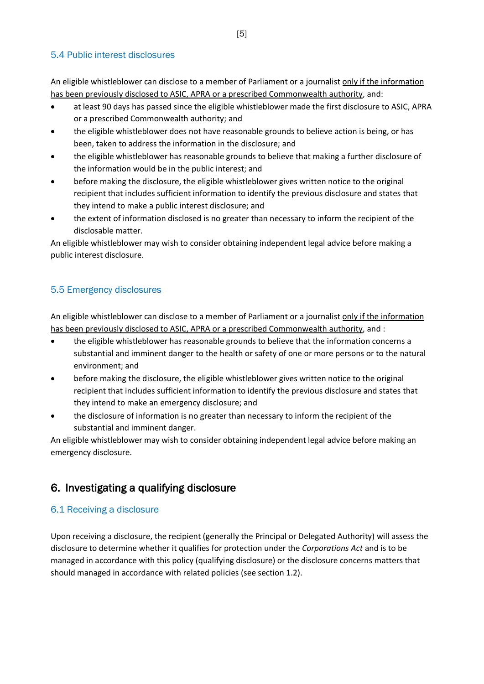## 5.4 Public interest disclosures

An eligible whistleblower can disclose to a member of Parliament or a journalist only if the information has been previously disclosed to ASIC, APRA or a prescribed Commonwealth authority, and:

- at least 90 days has passed since the eligible whistleblower made the first disclosure to ASIC, APRA or a prescribed Commonwealth authority; and
- the eligible whistleblower does not have reasonable grounds to believe action is being, or has been, taken to address the information in the disclosure; and
- the eligible whistleblower has reasonable grounds to believe that making a further disclosure of the information would be in the public interest; and
- before making the disclosure, the eligible whistleblower gives written notice to the original recipient that includes sufficient information to identify the previous disclosure and states that they intend to make a public interest disclosure; and
- the extent of information disclosed is no greater than necessary to inform the recipient of the disclosable matter.

An eligible whistleblower may wish to consider obtaining independent legal advice before making a public interest disclosure.

# 5.5 Emergency disclosures

An eligible whistleblower can disclose to a member of Parliament or a journalist only if the information has been previously disclosed to ASIC, APRA or a prescribed Commonwealth authority, and :

- the eligible whistleblower has reasonable grounds to believe that the information concerns a substantial and imminent danger to the health or safety of one or more persons or to the natural environment; and
- before making the disclosure, the eligible whistleblower gives written notice to the original recipient that includes sufficient information to identify the previous disclosure and states that they intend to make an emergency disclosure; and
- the disclosure of information is no greater than necessary to inform the recipient of the substantial and imminent danger.

An eligible whistleblower may wish to consider obtaining independent legal advice before making an emergency disclosure.

# 6. Investigating a qualifying disclosure

# 6.1 Receiving a disclosure

Upon receiving a disclosure, the recipient (generally the Principal or Delegated Authority) will assess the disclosure to determine whether it qualifies for protection under the *Corporations Act* and is to be managed in accordance with this policy (qualifying disclosure) or the disclosure concerns matters that should managed in accordance with related policies (see section 1.2).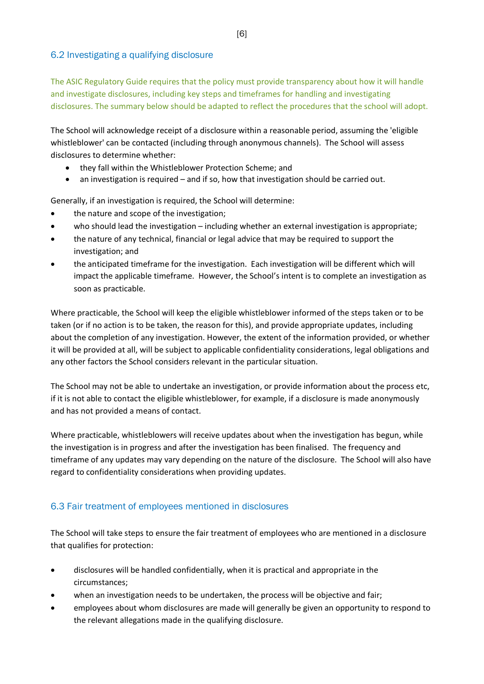## 6.2 Investigating a qualifying disclosure

The ASIC Regulatory Guide requires that the policy must provide transparency about how it will handle and investigate disclosures, including key steps and timeframes for handling and investigating disclosures. The summary below should be adapted to reflect the procedures that the school will adopt.

The School will acknowledge receipt of a disclosure within a reasonable period, assuming the 'eligible whistleblower' can be contacted (including through anonymous channels). The School will assess disclosures to determine whether:

- they fall within the Whistleblower Protection Scheme; and
- an investigation is required and if so, how that investigation should be carried out.

Generally, if an investigation is required, the School will determine:

- the nature and scope of the investigation;
- who should lead the investigation including whether an external investigation is appropriate;
- the nature of any technical, financial or legal advice that may be required to support the investigation; and
- the anticipated timeframe for the investigation. Each investigation will be different which will impact the applicable timeframe. However, the School's intent is to complete an investigation as soon as practicable.

Where practicable, the School will keep the eligible whistleblower informed of the steps taken or to be taken (or if no action is to be taken, the reason for this), and provide appropriate updates, including about the completion of any investigation. However, the extent of the information provided, or whether it will be provided at all, will be subject to applicable confidentiality considerations, legal obligations and any other factors the School considers relevant in the particular situation.

The School may not be able to undertake an investigation, or provide information about the process etc, if it is not able to contact the eligible whistleblower, for example, if a disclosure is made anonymously and has not provided a means of contact.

Where practicable, whistleblowers will receive updates about when the investigation has begun, while the investigation is in progress and after the investigation has been finalised. The frequency and timeframe of any updates may vary depending on the nature of the disclosure. The School will also have regard to confidentiality considerations when providing updates.

# 6.3 Fair treatment of employees mentioned in disclosures

The School will take steps to ensure the fair treatment of employees who are mentioned in a disclosure that qualifies for protection:

- disclosures will be handled confidentially, when it is practical and appropriate in the circumstances;
- when an investigation needs to be undertaken, the process will be objective and fair;
- employees about whom disclosures are made will generally be given an opportunity to respond to the relevant allegations made in the qualifying disclosure.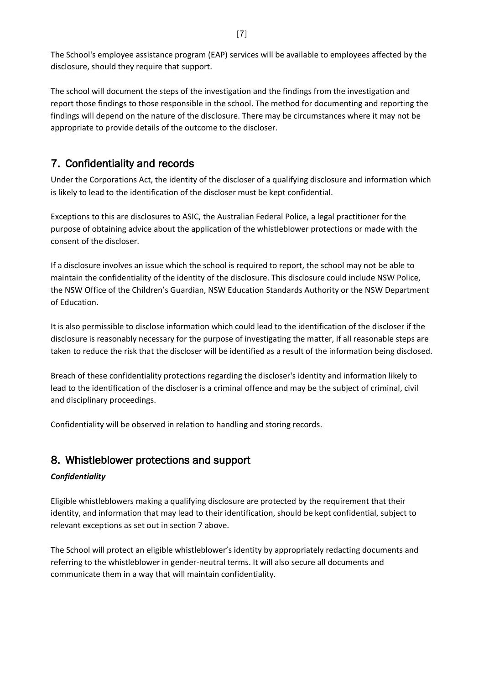The School's employee assistance program (EAP) services will be available to employees affected by the disclosure, should they require that support.

The school will document the steps of the investigation and the findings from the investigation and report those findings to those responsible in the school. The method for documenting and reporting the findings will depend on the nature of the disclosure. There may be circumstances where it may not be appropriate to provide details of the outcome to the discloser.

# 7. Confidentiality and records

Under the Corporations Act, the identity of the discloser of a qualifying disclosure and information which is likely to lead to the identification of the discloser must be kept confidential.

Exceptions to this are disclosures to ASIC, the Australian Federal Police, a legal practitioner for the purpose of obtaining advice about the application of the whistleblower protections or made with the consent of the discloser.

If a disclosure involves an issue which the school is required to report, the school may not be able to maintain the confidentiality of the identity of the disclosure. This disclosure could include NSW Police, the NSW Office of the Children's Guardian, NSW Education Standards Authority or the NSW Department of Education.

It is also permissible to disclose information which could lead to the identification of the discloser if the disclosure is reasonably necessary for the purpose of investigating the matter, if all reasonable steps are taken to reduce the risk that the discloser will be identified as a result of the information being disclosed.

Breach of these confidentiality protections regarding the discloser's identity and information likely to lead to the identification of the discloser is a criminal offence and may be the subject of criminal, civil and disciplinary proceedings.

Confidentiality will be observed in relation to handling and storing records.

# 8. Whistleblower protections and support

# *Confidentiality*

Eligible whistleblowers making a qualifying disclosure are protected by the requirement that their identity, and information that may lead to their identification, should be kept confidential, subject to relevant exceptions as set out in section 7 above.

The School will protect an eligible whistleblower's identity by appropriately redacting documents and referring to the whistleblower in gender-neutral terms. It will also secure all documents and communicate them in a way that will maintain confidentiality.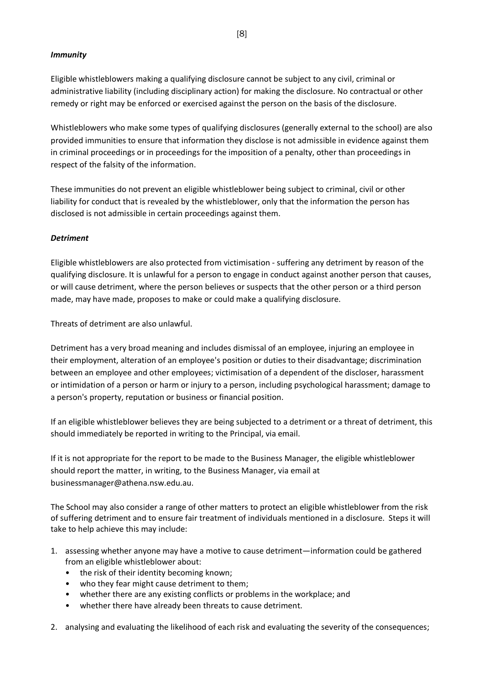#### *Immunity*

Eligible whistleblowers making a qualifying disclosure cannot be subject to any civil, criminal or administrative liability (including disciplinary action) for making the disclosure. No contractual or other remedy or right may be enforced or exercised against the person on the basis of the disclosure.

Whistleblowers who make some types of qualifying disclosures (generally external to the school) are also provided immunities to ensure that information they disclose is not admissible in evidence against them in criminal proceedings or in proceedings for the imposition of a penalty, other than proceedings in respect of the falsity of the information.

These immunities do not prevent an eligible whistleblower being subject to criminal, civil or other liability for conduct that is revealed by the whistleblower, only that the information the person has disclosed is not admissible in certain proceedings against them.

#### *Detriment*

Eligible whistleblowers are also protected from victimisation - suffering any detriment by reason of the qualifying disclosure. It is unlawful for a person to engage in conduct against another person that causes, or will cause detriment, where the person believes or suspects that the other person or a third person made, may have made, proposes to make or could make a qualifying disclosure.

Threats of detriment are also unlawful.

Detriment has a very broad meaning and includes dismissal of an employee, injuring an employee in their employment, alteration of an employee's position or duties to their disadvantage; discrimination between an employee and other employees; victimisation of a dependent of the discloser, harassment or intimidation of a person or harm or injury to a person, including psychological harassment; damage to a person's property, reputation or business or financial position.

If an eligible whistleblower believes they are being subjected to a detriment or a threat of detriment, this should immediately be reported in writing to the Principal, via email.

If it is not appropriate for the report to be made to the Business Manager, the eligible whistleblower should report the matter, in writing, to the Business Manager, via email at businessmanager@athena.nsw.edu.au.

The School may also consider a range of other matters to protect an eligible whistleblower from the risk of suffering detriment and to ensure fair treatment of individuals mentioned in a disclosure. Steps it will take to help achieve this may include:

- 1. assessing whether anyone may have a motive to cause detriment—information could be gathered from an eligible whistleblower about:
	- the risk of their identity becoming known;
	- who they fear might cause detriment to them;
	- whether there are any existing conflicts or problems in the workplace; and
	- whether there have already been threats to cause detriment.
- 2. analysing and evaluating the likelihood of each risk and evaluating the severity of the consequences;